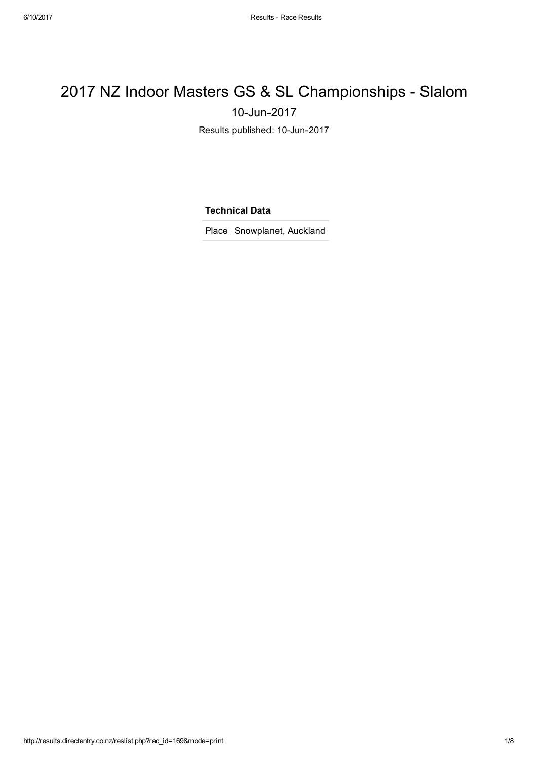## 2017 NZ Indoor Masters GS & SL Championships - Slalom 10-Jun-2017

Results published: 10-Jun-2017

Technical Data

Place Snowplanet, Auckland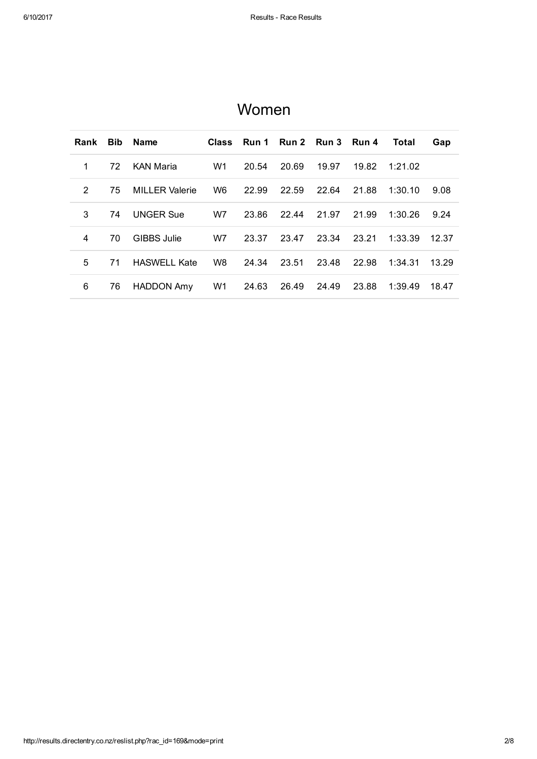| Rank          | <b>Bib</b> | <b>Name</b>           | Class          |       | Run 1 Run 2 Run 3 Run 4 |       |       | <b>Total</b> | Gap   |
|---------------|------------|-----------------------|----------------|-------|-------------------------|-------|-------|--------------|-------|
| 1             | 72         | <b>KAN Maria</b>      | W1             | 20.54 | 20.69                   | 19.97 | 19.82 | 1:21.02      |       |
| $\mathcal{P}$ | 75         | <b>MILLER Valerie</b> | W <sub>6</sub> | 22.99 | 22.59                   | 22.64 | 21.88 | 1:30.10      | 9.08  |
| 3             | 74         | <b>UNGER Sue</b>      | W7             | 23.86 | 22.44                   | 21.97 | 21.99 | 1:30.26      | 9.24  |
| 4             | 70         | <b>GIBBS Julie</b>    | W7             | 23.37 | 23.47                   | 23.34 | 23.21 | 1:33.39      | 12.37 |
| 5             | 71         | <b>HASWELL Kate</b>   | W8             | 24.34 | 23.51                   | 23.48 | 22.98 | 1:34.31      | 13.29 |
| 6             | 76         | <b>HADDON Amy</b>     | W1             | 24.63 | 26.49                   | 24.49 | 23.88 | 1:39.49      | 18.47 |

## Women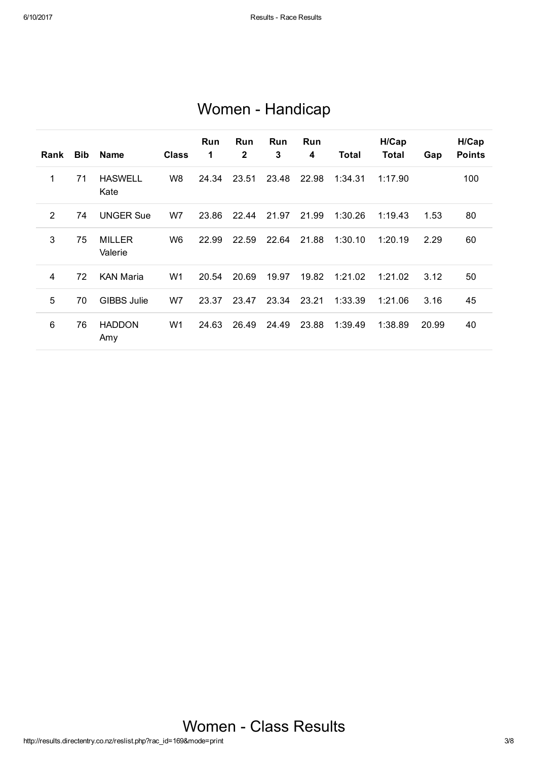| Rank           | <b>Bib</b> | <b>Name</b>              | <b>Class</b>   | <b>Run</b><br>1 | <b>Run</b><br>$\mathbf{2}$ | <b>Run</b><br>3 | <b>Run</b><br>4 | Total   | H/Cap<br>Total | Gap   | H/Cap<br><b>Points</b> |
|----------------|------------|--------------------------|----------------|-----------------|----------------------------|-----------------|-----------------|---------|----------------|-------|------------------------|
| 1              | 71         | <b>HASWELL</b><br>Kate   | W8             | 24.34           | 23.51                      | 23.48           | 22.98           | 1:34.31 | 1:17.90        |       | 100                    |
| $\overline{2}$ | 74         | <b>UNGER Sue</b>         | W7             | 23.86           | 22.44                      | 21.97           | 21.99           | 1:30.26 | 1:19.43        | 1.53  | 80                     |
| 3              | 75         | <b>MILLER</b><br>Valerie | W <sub>6</sub> | 22.99           | 22.59                      | 22.64           | 21.88           | 1:30.10 | 1:20.19        | 2.29  | 60                     |
| 4              | 72         | <b>KAN Maria</b>         | W1             | 20.54           | 20.69                      | 19.97           | 19.82           | 1:21.02 | 1:21.02        | 3.12  | 50                     |
| 5              | 70         | <b>GIBBS Julie</b>       | W7             | 23.37           | 23.47                      | 23.34           | 23.21           | 1:33.39 | 1:21.06        | 3.16  | 45                     |
| 6              | 76         | <b>HADDON</b><br>Amy     | W1             | 24.63           | 26.49                      | 24.49           | 23.88           | 1:39.49 | 1:38.89        | 20.99 | 40                     |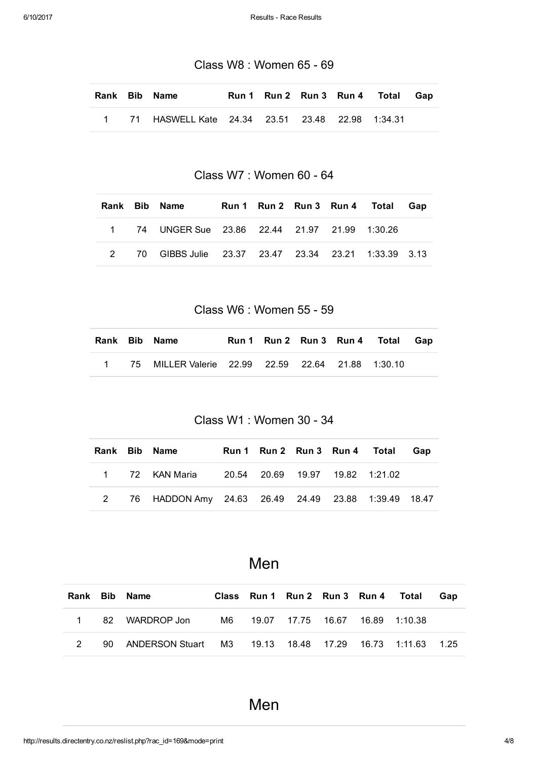Class W8 : Women 65 - 69

|  | Rank Bib Name                                          |  |  | Run 1 Run 2 Run 3 Run 4 Total Gap |  |
|--|--------------------------------------------------------|--|--|-----------------------------------|--|
|  | 1 71 HASWELL Kate  24.34  23.51  23.48  22.98  1:34.31 |  |  |                                   |  |

Class W7 : Women 60 - 64

|  | Rank Bib Name                                       |  |  | Run 1 Run 2 Run 3 Run 4 Total Gap |  |
|--|-----------------------------------------------------|--|--|-----------------------------------|--|
|  | 1 74 UNGER Sue 23.86 22.44 21.97 21.99 1:30.26      |  |  |                                   |  |
|  | 70 GIBBS Julie 23.37 23.47 23.34 23.21 1:33.39 3.13 |  |  |                                   |  |

Class W6 : Women 55 - 59

|  | Rank Bib Name                                       |  |  | Run 1 Run 2 Run 3 Run 4 Total Gap |  |
|--|-----------------------------------------------------|--|--|-----------------------------------|--|
|  | 1 75 MILLER Valerie 22.99 22.59 22.64 21.88 1:30.10 |  |  |                                   |  |

Class W1 : Women 30 - 34

|  | Rank Bib Name                                         | Run 1 Run 2 Run 3 Run 4 Total |  | Gap |
|--|-------------------------------------------------------|-------------------------------|--|-----|
|  | 1 72 KAN Maria 20.54 20.69 19.97 19.82 1:21.02        |                               |  |     |
|  | 2 76 HADDON Amy 24.63 26.49 24.49 23.88 1:39.49 18.47 |                               |  |     |

Men

|  | Rank Bib Name                                                     |  |  | Class Run 1 Run 2 Run 3 Run 4 Total | Gap |
|--|-------------------------------------------------------------------|--|--|-------------------------------------|-----|
|  | 1 82 WARDROP Jon M6 19.07 17.75 16.67 16.89 1:10.38               |  |  |                                     |     |
|  | 90 ANDERSON Stuart  M3  19.13  18.48  17.29  16.73  1:11.63  1.25 |  |  |                                     |     |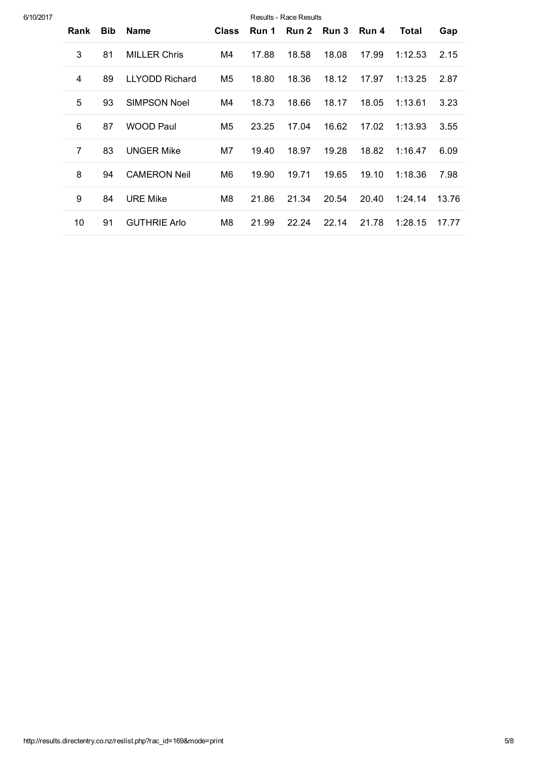| 6/10/2017 |                |            |                       |                |       | Results - Race Results |       |       |         |       |
|-----------|----------------|------------|-----------------------|----------------|-------|------------------------|-------|-------|---------|-------|
|           | Rank           | <b>Bib</b> | <b>Name</b>           | <b>Class</b>   | Run 1 | <b>Run 2</b>           | Run 3 | Run 4 | Total   | Gap   |
|           | 3              | 81         | <b>MILLER Chris</b>   | M4             | 17.88 | 18.58                  | 18.08 | 17.99 | 1:12.53 | 2.15  |
|           | 4              | 89         | <b>LLYODD Richard</b> | M5             | 18.80 | 18.36                  | 18.12 | 17.97 | 1:13.25 | 2.87  |
|           | 5              | 93         | <b>SIMPSON Noel</b>   | M4             | 18.73 | 18.66                  | 18.17 | 18.05 | 1:13.61 | 3.23  |
|           | 6              | 87         | <b>WOOD Paul</b>      | M <sub>5</sub> | 23.25 | 17.04                  | 16.62 | 17.02 | 1:13.93 | 3.55  |
|           | $\overline{7}$ | 83         | <b>UNGER Mike</b>     | M7             | 19.40 | 18.97                  | 19.28 | 18.82 | 1:16.47 | 6.09  |
|           | 8              | 94         | <b>CAMERON Neil</b>   | M6             | 19.90 | 19.71                  | 19.65 | 19.10 | 1:18.36 | 7.98  |
|           | 9              | 84         | <b>URE Mike</b>       | M8             | 21.86 | 21.34                  | 20.54 | 20.40 | 1:24.14 | 13.76 |
|           | 10             | 91         | <b>GUTHRIE Arlo</b>   | M8             | 21.99 | 22.24                  | 22.14 | 21.78 | 1:28.15 | 17.77 |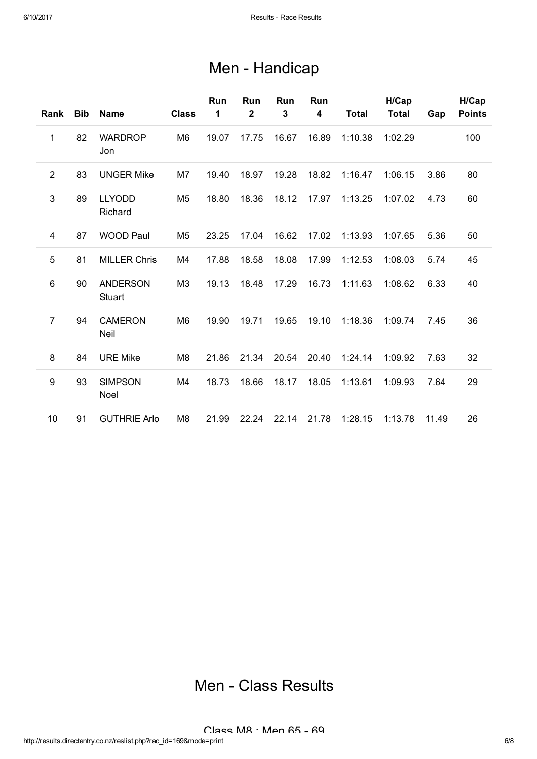## Men - Handicap

| Rank            | <b>Bib</b> | <b>Name</b>               | <b>Class</b>   | Run<br>1 | Run<br>$\overline{2}$ | Run<br>3 | Run<br>$\overline{\mathbf{4}}$ | <b>Total</b> | H/Cap<br><b>Total</b> | Gap   | H/Cap<br><b>Points</b> |
|-----------------|------------|---------------------------|----------------|----------|-----------------------|----------|--------------------------------|--------------|-----------------------|-------|------------------------|
| 1               | 82         | <b>WARDROP</b><br>Jon     | M <sub>6</sub> | 19.07    | 17.75                 | 16.67    | 16.89                          | 1:10.38      | 1:02.29               |       | 100                    |
| 2               | 83         | <b>UNGER Mike</b>         | M7             | 19.40    | 18.97                 | 19.28    | 18.82                          | 1:16.47      | 1:06.15               | 3.86  | 80                     |
| $\mathbf{3}$    | 89         | <b>LLYODD</b><br>Richard  | M <sub>5</sub> | 18.80    | 18.36                 | 18.12    | 17.97                          | 1:13.25      | 1:07.02               | 4.73  | 60                     |
| 4               | 87         | <b>WOOD Paul</b>          | M <sub>5</sub> | 23.25    | 17.04                 | 16.62    | 17.02                          | 1:13.93      | 1:07.65               | 5.36  | 50                     |
| 5               | 81         | <b>MILLER Chris</b>       | M4             | 17.88    | 18.58                 | 18.08    | 17.99                          | 1:12.53      | 1:08.03               | 5.74  | 45                     |
| $6\phantom{1}6$ | 90         | <b>ANDERSON</b><br>Stuart | M <sub>3</sub> | 19.13    | 18.48                 | 17.29    | 16.73                          | 1:11.63      | 1:08.62               | 6.33  | 40                     |
| $\overline{7}$  | 94         | <b>CAMERON</b><br>Neil    | M <sub>6</sub> | 19.90    | 19.71                 | 19.65    | 19.10                          | 1:18.36      | 1:09.74               | 7.45  | 36                     |
| 8               | 84         | <b>URE Mike</b>           | M <sub>8</sub> | 21.86    | 21.34                 | 20.54    | 20.40                          | 1:24.14      | 1:09.92               | 7.63  | 32                     |
| 9               | 93         | <b>SIMPSON</b><br>Noel    | M4             | 18.73    | 18.66                 | 18.17    | 18.05                          | 1:13.61      | 1:09.93               | 7.64  | 29                     |
| 10              | 91         | <b>GUTHRIE Arlo</b>       | M <sub>8</sub> | 21.99    | 22.24                 | 22.14    | 21.78                          | 1:28.15      | 1:13.78               | 11.49 | 26                     |

## Men - Class Results